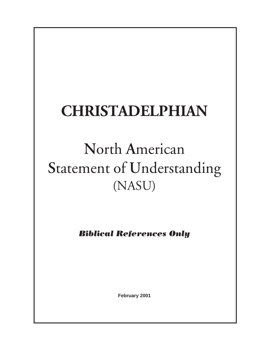# **CHRISTADELPHIAN**

# **N**orth **A**merican **S**tatement of **U**nderstanding (NASU)

*Biblical References Only*

**February 2001**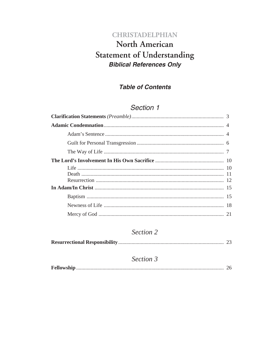# **CHRISTADELPHIAN North American Statement of Understanding Biblical References Only**

## **Table of Contents**

# Section 1

## Section 2

|--|--|--|

## Section 3

|--|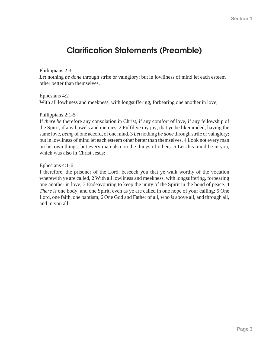# **Clarification Statements (Preamble)**

#### Philippians 2:3

Let nothing *be done* through strife or vainglory; but in lowliness of mind let each esteem other better than themselves.

Ephesians 4:2

With all lowliness and meekness, with longsuffering, forbearing one another in love;

#### Philippians 2:1-5

If *there be* therefore any consolation in Christ, if any comfort of love, if any fellowship of the Spirit, if any bowels and mercies, 2 Fulfil ye my joy, that ye be likeminded, having the same love, *being* of one accord, of one mind. 3 *Let* nothing *be done* through strife or vainglory; but in lowliness of mind let each esteem other better than themselves. 4 Look not every man on his own things, but every man also on the things of others. 5 Let this mind be in you, which was also in Christ Jesus:

#### Ephesians 4:1-6

I therefore, the prisoner of the Lord, beseech you that ye walk worthy of the vocation wherewith ye are called, 2 With all lowliness and meekness, with longsuffering, forbearing one another in love; 3 Endeavouring to keep the unity of the Spirit in the bond of peace. 4 *There is* one body, and one Spirit, even as ye are called in one hope of your calling; 5 One Lord, one faith, one baptism, 6 One God and Father of all, who *is* above all, and through all, and in you all.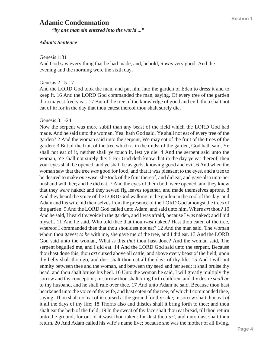## **Adamic Condemnation**

*"by one man sin entered into the world ..."*

#### *Adam's Sentence*

#### Genesis 1:31

And God saw every thing that he had made, and, behold, *it was* very good. And the evening and the morning were the sixth day.

#### Genesis 2:15-17

And the LORD God took the man, and put him into the garden of Eden to dress it and to keep it. 16 And the LORD God commanded the man, saying, Of every tree of the garden thou mayest freely eat: 17 But of the tree of the knowledge of good and evil, thou shalt not eat of it: for in the day that thou eatest thereof thou shalt surely die.

#### Genesis 3:1-24

Now the serpent was more subtil than any beast of the field which the LORD God had made. And he said unto the woman, Yea, hath God said, Ye shall not eat of every tree of the garden? 2 And the woman said unto the serpent, We may eat of the fruit of the trees of the garden: 3 But of the fruit of the tree which *is* in the midst of the garden, God hath said, Ye shall not eat of it, neither shall ye touch it, lest ye die. 4 And the serpent said unto the woman, Ye shall not surely die: 5 For God doth know that in the day ye eat thereof, then your eyes shall be opened, and ye shall be as gods, knowing good and evil. 6 And when the woman saw that the tree *was* good for food, and that it *was* pleasant to the eyes, and a tree to be desired to make *one* wise, she took of the fruit thereof, and did eat, and gave also unto her husband with her; and he did eat. 7 And the eyes of them both were opened, and they knew that they *were* naked; and they sewed fig leaves together, and made themselves aprons. 8 And they heard the voice of the LORD God walking in the garden in the cool of the day: and Adam and his wife hid themselves from the presence of the LORD God amongst the trees of the garden. 9 And the LORD God called unto Adam, and said unto him, Where *art* thou? 10 And he said, I heard thy voice in the garden, and I was afraid, because I *was* naked; and I hid myself. 11 And he said, Who told thee that thou *wast* naked? Hast thou eaten of the tree, whereof I commanded thee that thou shouldest not eat? 12 And the man said, The woman whom thou gavest *to be* with me, she gave me of the tree, and I did eat. 13 And the LORD God said unto the woman, What *is* this *that* thou hast done? And the woman said, The serpent beguiled me, and I did eat. 14 And the LORD God said unto the serpent, Because thou hast done this, thou *art* cursed above all cattle, and above every beast of the field; upon thy belly shalt thou go, and dust shalt thou eat all the days of thy life: 15 And I will put enmity between thee and the woman, and between thy seed and her seed; it shall bruise thy head, and thou shalt bruise his heel. 16 Unto the woman he said, I will greatly multiply thy sorrow and thy conception; in sorrow thou shalt bring forth children; and thy desire *shall be* to thy husband, and he shall rule over thee. 17 And unto Adam he said, Because thou hast hearkened unto the voice of thy wife, and hast eaten of the tree, of which I commanded thee, saying, Thou shalt not eat of it: cursed *is* the ground for thy sake; in sorrow shalt thou eat *of* it all the days of thy life; 18 Thorns also and thistles shall it bring forth to thee; and thou shalt eat the herb of the field; 19 In the sweat of thy face shalt thou eat bread, till thou return unto the ground; for out of it wast thou taken: for dust thou *art*, and unto dust shalt thou return. 20 And Adam called his wife's name Eve; because she was the mother of all living.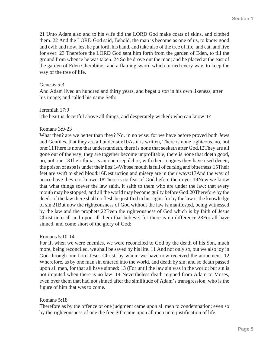21 Unto Adam also and to his wife did the LORD God make coats of skins, and clothed them. 22 And the LORD God said, Behold, the man is become as one of us, to know good and evil: and now, lest he put forth his hand, and take also of the tree of life, and eat, and live for ever: 23 Therefore the LORD God sent him forth from the garden of Eden, to till the ground from whence he was taken. 24 So he drove out the man; and he placed at the east of the garden of Eden Cherubims, and a flaming sword which turned every way, to keep the way of the tree of life.

#### Genesis 5:3

And Adam lived an hundred and thirty years, and begat *a son* in his own likeness, after his image; and called his name Seth:

#### Jeremiah 17:9

The heart is deceitful above all things, and desperately wicked**:** who can know it?

#### Romans 3:9-23

What then? are we better than they? No, in no wise: for we have before proved both Jews and Gentiles, that they are all under sin;10As it is written, There is none righteous, no, not one:11There is none that understandeth, there is none that seeketh after God.12They are all gone out of the way, they are together become unprofitable; there is none that doeth good, no, not one.13Their throat is an open sepulchre; with their tongues they have used deceit; the poison of asps is under their lips:14Whose mouth is full of cursing and bitterness:15Their feet are swift to shed blood:16Destruction and misery are in their ways:17And the way of peace have they not known:18There is no fear of God before their eyes.19Now we know that what things soever the law saith, it saith to them who are under the law: that every mouth may be stopped, and all the world may become guilty before God.20Therefore by the deeds of the law there shall no flesh be justified in his sight: for by the law is the knowledge of sin.21But now the righteousness of God without the law is manifested, being witnessed by the law and the prophets;22Even the righteousness of God which is by faith of Jesus Christ unto all and upon all them that believe: for there is no difference:23For all have sinned, and come short of the glory of God;

#### Romans 5:10-14

For if, when we were enemies, we were reconciled to God by the death of his Son, much more, being reconciled, we shall be saved by his life. 11 And not only *so*, but we also joy in God through our Lord Jesus Christ, by whom we have now received the atonement. 12 Wherefore, as by one man sin entered into the world, and death by sin; and so death passed upon all men, for that all have sinned: 13 (For until the law sin was in the world: but sin is not imputed when there is no law. 14 Nevertheless death reigned from Adam to Moses, even over them that had not sinned after the similitude of Adam's transgression, who is the figure of him that was to come.

#### Romans 5:18

Therefore as by the offence of one judgment came upon all men to condemnation; even so by the righteousness of one the free gift came upon all men unto justification of life.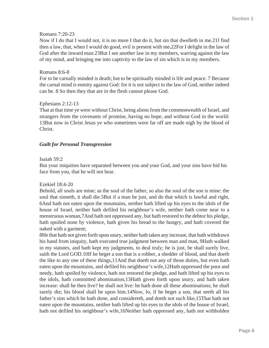#### Romans 7:20-23

Now if I do that I would not, it is no more I that do it, but sin that dwelleth in me.21I find then a law, that, when I would do good, evil is present with me**.**22For I delight in the law of God after the inward man:23But I see another law in my members, warring against the law of my mind, and bringing me into captivity to the law of sin which is in my members.

#### Romans 8:6-8

For to be carnally minded *is* death; but to be spiritually minded *is* life and peace. 7 Because the carnal mind *is* enmity against God: for it is not subject to the law of God, neither indeed can be. 8 So then they that are in the flesh cannot please God.

#### Ephesians 2:12-13

That at that time ye were without Christ, being aliens from the commonwealth of Israel, and strangers from the covenants of promise, having no hope, and without God in the world: 13But now in Christ Jesus ye who sometimes were far off are made nigh by the blood of Christ.

#### *Guilt for Personal Transgression*

#### Isaiah 59:2

But your iniquities have separated between you and your God, and your sins have hid his face from you, that he will not hear.

#### Ezekiel 18:4-20

Behold, all souls are mine; as the soul of the father, so also the soul of the son is mine: the soul that sinneth, it shall die.5But if a man be just, and do that which is lawful and right, 6And hath not eaten upon the mountains, neither hath lifted up his eyes to the idols of the house of Israel, neither hath defiled his neighbour's wife, neither hath come near to a menstruous woman,7And hath not oppressed any, but hath restored to the debtor his pledge, hath spoiled none by violence, hath given his bread to the hungry, and hath covered the naked with a garment;

8He that hath not given forth upon usury, neither hath taken any increase, that hath withdrawn his hand from iniquity, hath executed true judgment between man and man, 9Hath walked in my statutes, and hath kept my judgments, to deal truly; he is just, he shall surely live, saith the Lord GOD.10If he beget a son that is a robber, a shedder of blood, and that doeth the like to any one of these things,11And that doeth not any of those duties, but even hath eaten upon the mountains, and defiled his neighbour's wife,12Hath oppressed the poor and needy, hath spoiled by violence, hath not restored the pledge, and hath lifted up his eyes to the idols, hath committed abomination,13Hath given forth upon usury, and hath taken increase: shall he then live? he shall not live: he hath done all these abominations; he shall surely die; his blood shall be upon him.14Now, lo, if he beget a son, that seeth all his father's sins which he hath done, and considereth, and doeth not such like,15That hath not eaten upon the mountains, neither hath lifted up his eyes to the idols of the house of Israel, hath not defiled his neighbour's wife,16Neither hath oppressed any, hath not withholden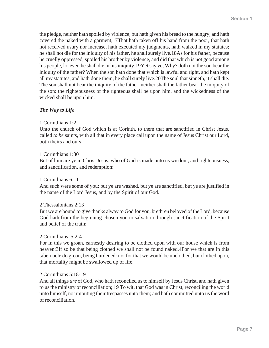the pledge, neither hath spoiled by violence, but hath given his bread to the hungry, and hath covered the naked with a garment,17That hath taken off his hand from the poor, that hath not received usury nor increase, hath executed my judgments, hath walked in my statutes; he shall not die for the iniquity of his father, he shall surely live.18As for his father, because he cruelly oppressed, spoiled his brother by violence, and did that which is not good among his people, lo, even he shall die in his iniquity.19Yet say ye, Why? doth not the son bear the iniquity of the father? When the son hath done that which is lawful and right, and hath kept all my statutes, and hath done them, he shall surely live.20The soul that sinneth, it shall die. The son shall not bear the iniquity of the father, neither shall the father bear the iniquity of the son: the righteousness of the righteous shall be upon him, and the wickedness of the wicked shall be upon him.

#### *The Way to Life*

#### 1 Corinthians 1:2

Unto the church of God which is at Corinth, to them that are sanctified in Christ Jesus, called *to be* saints, with all that in every place call upon the name of Jesus Christ our Lord, both theirs and ours:

#### 1 Corinthians 1:30

But of him are ye in Christ Jesus, who of God is made unto us wisdom, and righteousness, and sanctification, and redemption:

1 Corinthians 6:11

And such were some of you: but ye are washed, but ye are sanctified, but ye are justified in the name of the Lord Jesus, and by the Spirit of our God.

#### 2 Thessalonians 2:13

But we are bound to give thanks alway to God for you, brethren beloved of the Lord, because God hath from the beginning chosen you to salvation through sanctification of the Spirit and belief of the truth:

#### 2 Corinthians 5:2-4

For in this we groan, earnestly desiring to be clothed upon with our house which is from heaven:3If so be that being clothed we shall not be found naked.4For we that are in this tabernacle do groan, being burdened: not for that we would be unclothed, but clothed upon, that mortality might be swallowed up of life.

#### 2 Corinthians 5:18-19

And all things *are* of God, who hath reconciled us to himself by Jesus Christ, and hath given to us the ministry of reconciliation; 19 To wit, that God was in Christ, reconciling the world unto himself, not imputing their trespasses unto them; and hath committed unto us the word of reconciliation.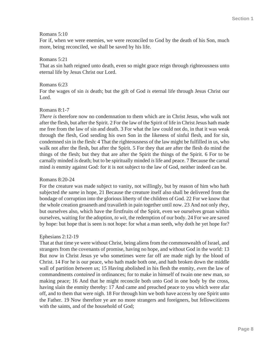#### Romans 5:10

For if, when we were enemies, we were reconciled to God by the death of his Son, much more, being reconciled, we shall be saved by his life.

#### Romans 5:21

That as sin hath reigned unto death, even so might grace reign through righteousness unto eternal life by Jesus Christ our Lord.

#### Romans 6:23

For the wages of sin *is* death; but the gift of God *is* eternal life through Jesus Christ our Lord.

#### Romans 8:1-7

*There is* therefore now no condemnation to them which are in Christ Jesus, who walk not after the flesh, but after the Spirit. 2 For the law of the Spirit of life in Christ Jesus hath made me free from the law of sin and death. 3 For what the law could not do, in that it was weak through the flesh, God sending his own Son in the likeness of sinful flesh, and for sin, condemned sin in the flesh: 4 That the righteousness of the law might be fulfilled in us, who walk not after the flesh, but after the Spirit. 5 For they that are after the flesh do mind the things of the flesh; but they that are after the Spirit the things of the Spirit. 6 For to be carnally minded *is* death; but to be spiritually minded *is* life and peace. 7 Because the carnal mind *is* enmity against God: for it is not subject to the law of God, neither indeed can be.

#### Romans 8:20-24

For the creature was made subject to vanity, not willingly, but by reason of him who hath subjected *the same* in hope, 21 Because the creature itself also shall be delivered from the bondage of corruption into the glorious liberty of the children of God. 22 For we know that the whole creation groaneth and travaileth in pain together until now. 23 And not only *they*, but ourselves also, which have the firstfruits of the Spirit, even we ourselves groan within ourselves, waiting for the adoption, *to wit*, the redemption of our body. 24 For we are saved by hope: but hope that is seen is not hope: for what a man seeth, why doth he yet hope for?

#### Ephesians 2:12-19

That at that time ye were without Christ, being aliens from the commonwealth of Israel, and strangers from the covenants of promise, having no hope, and without God in the world: 13 But now in Christ Jesus ye who sometimes were far off are made nigh by the blood of Christ. 14 For he is our peace, who hath made both one, and hath broken down the middle wall of partition *between us*; 15 Having abolished in his flesh the enmity, *even* the law of commandments *contained* in ordinances; for to make in himself of twain one new man, *so* making peace; 16 And that he might reconcile both unto God in one body by the cross, having slain the enmity thereby: 17 And came and preached peace to you which were afar off, and to them that were nigh. 18 For through him we both have access by one Spirit unto the Father. 19 Now therefore ye are no more strangers and foreigners, but fellowcitizens with the saints, and of the household of God;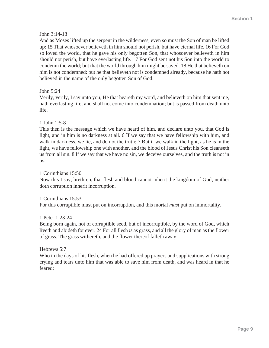#### John 3:14-18

And as Moses lifted up the serpent in the wilderness, even so must the Son of man be lifted up: 15 That whosoever believeth in him should not perish, but have eternal life. 16 For God so loved the world, that he gave his only begotten Son, that whosoever believeth in him should not perish, but have everlasting life. 17 For God sent not his Son into the world to condemn the world; but that the world through him might be saved. 18 He that believeth on him is not condemned: but he that believeth not is condemned already, because he hath not believed in the name of the only begotten Son of God.

#### John 5:24

Verily, verily, I say unto you, He that heareth my word, and believeth on him that sent me, hath everlasting life, and shall not come into condemnation; but is passed from death unto life.

#### 1 John 1:5-8

This then is the message which we have heard of him, and declare unto you, that God is light, and in him is no darkness at all. 6 If we say that we have fellowship with him, and walk in darkness, we lie, and do not the truth: 7 But if we walk in the light, as he is in the light, we have fellowship one with another, and the blood of Jesus Christ his Son cleanseth us from all sin. 8 If we say that we have no sin, we deceive ourselves, and the truth is not in us.

#### 1 Corinthians 15:50

Now this I say, brethren, that flesh and blood cannot inherit the kingdom of God; neither doth corruption inherit incorruption.

1 Corinthians 15:53

For this corruptible must put on incorruption, and this mortal *must* put on immortality.

#### 1 Peter 1:23-24

Being born again, not of corruptible seed, but of incorruptible, by the word of God, which liveth and abideth for ever. 24 For all flesh *is* as grass, and all the glory of man as the flower of grass. The grass withereth, and the flower thereof falleth away:

Hebrews 5:7

Who in the days of his flesh, when he had offered up prayers and supplications with strong crying and tears unto him that was able to save him from death, and was heard in that he feared;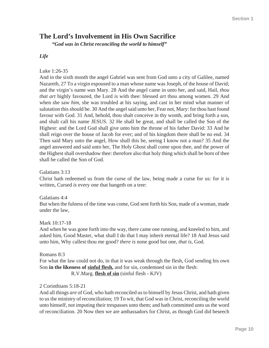# **The Lord's Involvement in His Own Sacrifice**

*"God was in Christ reconciling the world to himself"*

#### *Life*

#### Luke 1:26-35

And in the sixth month the angel Gabriel was sent from God unto a city of Galilee, named Nazareth, 27 To a virgin espoused to a man whose name was Joseph, of the house of David; and the virgin's name *was* Mary. 28 And the angel came in unto her, and said, Hail, *thou that art* highly favoured, the Lord *is* with thee: blessed *art* thou among women. 29 And when she saw *him*, she was troubled at his saying, and cast in her mind what manner of salutation this should be. 30 And the angel said unto her, Fear not, Mary: for thou hast found favour with God. 31 And, behold, thou shalt conceive in thy womb, and bring forth a son, and shalt call his name JESUS. 32 He shall be great, and shall be called the Son of the Highest: and the Lord God shall give unto him the throne of his father David: 33 And he shall reign over the house of Jacob for ever; and of his kingdom there shall be no end. 34 Then said Mary unto the angel, How shall this be, seeing I know not a man? 35 And the angel answered and said unto her, The Holy Ghost shall come upon thee, and the power of the Highest shall overshadow thee: therefore also that holy thing which shall be born of thee shall be called the Son of God.

Galatians 3:13

Christ hath redeemed us from the curse of the law, being made a curse for us: for it is written, Cursed *is* every one that hangeth on a tree:

Galatians 4:4 But when the fulness of the time was come, God sent forth his Son, made of a woman, made under the law,

Mark 10:17-18

And when he was gone forth into the way, there came one running, and kneeled to him, and asked him, Good Master, what shall I do that I may inherit eternal life? 18 And Jesus said unto him, Why callest thou me good? *there is* none good but one, *that is*, God.

Romans 8:3

For what the law could not do, in that it was weak through the flesh, God sending his own Son **in the likeness of sinful flesh,** and for sin, condemned sin in the flesh: R.V.Marg. **flesh of sin** (sinful flesh - KJV)

2 Corinthians 5:18-21

And all things *are* of God, who hath reconciled us to himself by Jesus Christ, and hath given to us the ministry of reconciliation; 19 To wit, that God was in Christ, reconciling the world unto himself, not imputing their trespasses unto them; and hath committed unto us the word of reconciliation. 20 Now then we are ambassadors for Christ, as though God did beseech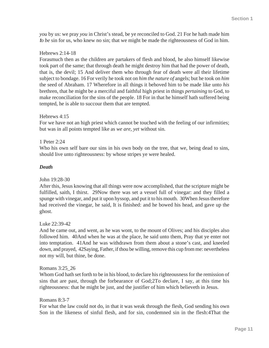*you* by us: we pray *you* in Christ's stead, be ye reconciled to God. 21 For he hath made him *to be* sin for us, who knew no sin; that we might be made the righteousness of God in him.

#### Hebrews 2:14-18

Forasmuch then as the children are partakers of flesh and blood, he also himself likewise took part of the same; that through death he might destroy him that had the power of death, that is, the devil; 15 And deliver them who through fear of death were all their lifetime subject to bondage. 16 For verily he took not on *him the nature of* angels; but he took on *him* the seed of Abraham. 17 Wherefore in all things it behoved him to be made like unto *his* brethren, that he might be a merciful and faithful high priest in things *pertaining* to God, to make reconciliation for the sins of the people. 18 For in that he himself hath suffered being tempted, he is able to succour them that are tempted.

#### Hebrews 4:15

For we have not an high priest which cannot be touched with the feeling of our infirmities; but was in all points tempted like as *we are, yet* without sin.

#### 1 Peter 2:24

Who his own self bare our sins in his own body on the tree, that we, being dead to sins, should live unto righteousness: by whose stripes ye were healed.

#### *Death*

#### John 19:28-30

After this, Jesus knowing that all things were now accomplished, that the scripture might be fulfilled, saith, I thirst. 29Now there was set a vessel full of vinegar: and they filled a spunge with vinegar, and put it upon hyssop, and put it to his mouth. 30When Jesus therefore had received the vinegar, he said, It is finished: and he bowed his head, and gave up the ghost.

#### Luke 22:39-42

And he came out, and went, as he was wont, to the mount of Olives; and his disciples also followed him. 40And when he was at the place, he said unto them, Pray that ye enter not into temptation. 41And he was withdrawn from them about a stone's cast, and kneeled down, and prayed, 42Saying, Father, if thou be willing, remove this cup from me: nevertheless not my will, but thine, be done.

#### Romans 3:25\_26

Whom God hath set forth to be in his blood, to declare his righteousness for the remission of sins that are past, through the forbearance of God;2To declare, I say, at this time his righteousness: that he might be just, and the justifier of him which believeth in Jesus.

#### Romans 8:3-7

For what the law could not do, in that it was weak through the flesh, God sending his own Son in the likeness of sinful flesh, and for sin, condemned sin in the flesh:4That the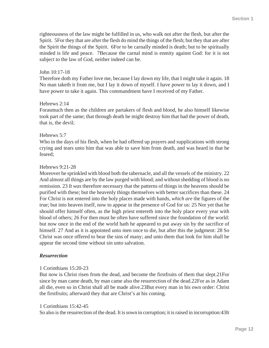righteousness of the law might be fulfilled in us, who walk not after the flesh, but after the Spirit. 5For they that are after the flesh do mind the things of the flesh; but they that are after the Spirit the things of the Spirit. 6For to be carnally minded is death; but to be spiritually minded is life and peace. 7Because the carnal mind is enmity against God: for it is not subject to the law of God, neither indeed can be.

#### John 10:17-18

Therefore doth my Father love me, because I lay down my life, that I might take it again. 18 No man taketh it from me, but I lay it down of myself. I have power to lay it down, and I have power to take it again. This commandment have I received of my Father.

#### Hebrews 2:14

Forasmuch then as the children are partakers of flesh and blood, he also himself likewise took part of the same; that through death he might destroy him that had the power of death, that is, the devil;

#### Hebrews 5:7

Who in the days of his flesh, when he had offered up prayers and supplications with strong crying and tears unto him that was able to save him from death, and was heard in that he feared;

#### Hebrews 9:21-28

Moreover he sprinkled with blood both the tabernacle, and all the vessels of the ministry. 22 And almost all things are by the law purged with blood; and without shedding of blood is no remission. 23 *It was* therefore necessary that the patterns of things in the heavens should be purified with these; but the heavenly things themselves with better sacrifices than these. 24 For Christ is not entered into the holy places made with hands, *which are* the figures of the true; but into heaven itself, now to appear in the presence of God for us: 25 Nor yet that he should offer himself often, as the high priest entereth into the holy place every year with blood of others; 26 For then must he often have suffered since the foundation of the world: but now once in the end of the world hath he appeared to put away sin by the sacrifice of himself. 27 And as it is appointed unto men once to die, but after this the judgment: 28 So Christ was once offered to bear the sins of many; and unto them that look for him shall he appear the second time without sin unto salvation.

#### *Resurrection*

#### 1 Corinthians 15:20-23

But now is Christ risen from the dead, and become the firstfruits of them that slept.21For since by man came death, by man came also the resurrection of the dead.22For as in Adam all die, even so in Christ shall all be made alive.23But every man in his own order: Christ the firstfruits; afterward they that are Christ's at his coming.

#### 1 Corinthians 15:42-45

So also is the resurrection of the dead. It is sown in corruption; it is raised in incorruption:43It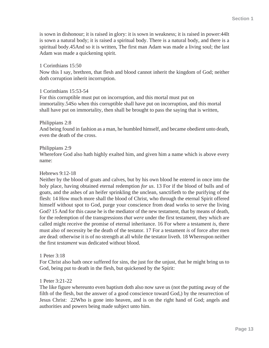is sown in dishonour; it is raised in glory: it is sown in weakness; it is raised in power:44It is sown a natural body; it is raised a spiritual body. There is a natural body, and there is a spiritual body.45And so it is written, The first man Adam was made a living soul; the last Adam was made a quickening spirit.

#### 1 Corinthians 15:50

Now this I say, brethren, that flesh and blood cannot inherit the kingdom of God; neither doth corruption inherit incorruption.

#### 1 Corinthians 15:53-54

For this corruptible must put on incorruption, and this mortal must put on immortality.54So when this corruptible shall have put on incorruption, and this mortal shall have put on immortality, then shall be brought to pass the saying that is written,

#### Philippians 2:8

And being found in fashion as a man, he humbled himself, and became obedient unto death, even the death of the cross.

#### Philippians 2:9

Wherefore God also hath highly exalted him, and given him a name which is above every name:

#### Hebrews 9:12-18

Neither by the blood of goats and calves, but by his own blood he entered in once into the holy place, having obtained eternal redemption *for us*. 13 For if the blood of bulls and of goats, and the ashes of an heifer sprinkling the unclean, sanctifieth to the purifying of the flesh: 14 How much more shall the blood of Christ, who through the eternal Spirit offered himself without spot to God, purge your conscience from dead works to serve the living God? 15 And for this cause he is the mediator of the new testament, that by means of death, for the redemption of the transgressions *that were* under the first testament, they which are called might receive the promise of eternal inheritance. 16 For where a testament *is*, there must also of necessity be the death of the testator. 17 For a testament *is* of force after men are dead: otherwise it is of no strength at all while the testator liveth. 18 Whereupon neither the first *testament* was dedicated without blood.

#### 1 Peter 3:18

For Christ also hath once suffered for sins, the just for the unjust, that he might bring us to God, being put to death in the flesh, but quickened by the Spirit:

#### 1 Peter 3:21-22

The like figure whereunto even baptism doth also now save us (not the putting away of the filth of the flesh, but the answer of a good conscience toward God,) by the resurrection of Jesus Christ: 22Who is gone into heaven, and is on the right hand of God; angels and authorities and powers being made subject unto him.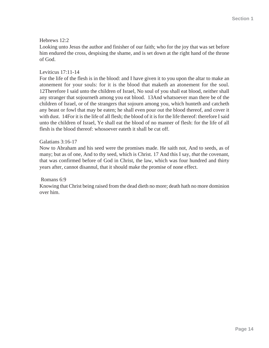#### Hebrews 12:2

Looking unto Jesus the author and finisher of our faith; who for the joy that was set before him endured the cross, despising the shame, and is set down at the right hand of the throne of God.

#### Leviticus 17:11-14

For the life of the flesh is in the blood: and I have given it to you upon the altar to make an atonement for your souls: for it is the blood that maketh an atonement for the soul. 12Therefore I said unto the children of Israel, No soul of you shall eat blood, neither shall any stranger that sojourneth among you eat blood. 13And whatsoever man there be of the children of Israel, or of the strangers that sojourn among you, which hunteth and catcheth any beast or fowl that may be eaten; he shall even pour out the blood thereof, and cover it with dust. 14For it is the life of all flesh; the blood of it is for the life thereof: therefore I said unto the children of Israel, Ye shall eat the blood of no manner of flesh: for the life of all flesh is the blood thereof: whosoever eateth it shall be cut off.

#### Galatians 3:16-17

Now to Abraham and his seed were the promises made. He saith not, And to seeds, as of many; but as of one, And to thy seed, which is Christ. 17 And this I say, *that* the covenant, that was confirmed before of God in Christ, the law, which was four hundred and thirty years after, cannot disannul, that it should make the promise of none effect.

#### Romans 6:9

Knowing that Christ being raised from the dead dieth no more; death hath no more dominion over him.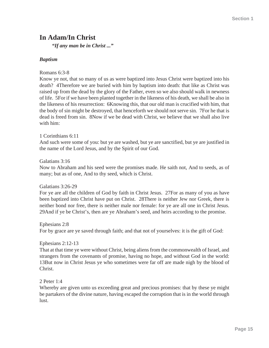# **In Adam/In Christ**

*"If any man be in Christ ..."*

#### *Baptism*

Romans 6:3-8

Know ye not, that so many of us as were baptized into Jesus Christ were baptized into his death? 4Therefore we are buried with him by baptism into death: that like as Christ was raised up from the dead by the glory of the Father, even so we also should walk in newness of life. 5For if we have been planted together in the likeness of his death, we shall be also in the likeness of his resurrection: 6Knowing this, that our old man is crucified with him, that the body of sin might be destroyed, that henceforth we should not serve sin. 7For he that is dead is freed from sin. 8Now if we be dead with Christ, we believe that we shall also live with him:

#### 1 Corinthians 6:11

And such were some of you: but ye are washed, but ye are sanctified, but ye are justified in the name of the Lord Jesus, and by the Spirit of our God.

#### Galatians 3:16

Now to Abraham and his seed were the promises made. He saith not, And to seeds, as of many; but as of one, And to thy seed, which is Christ.

Galatians 3:26-29

For ye are all the children of God by faith in Christ Jesus. 27For as many of you as have been baptized into Christ have put on Christ. 28There is neither Jew nor Greek, there is neither bond nor free, there is neither male nor female: for ye are all one in Christ Jesus. 29And if ye be Christ's, then are ye Abraham's seed, and heirs according to the promise.

Ephesians 2:8 For by grace are ye saved through faith; and that not of yourselves: it is the gift of God:

#### Ephesians 2:12-13

That at that time ye were without Christ, being aliens from the commonwealth of Israel, and strangers from the covenants of promise, having no hope, and without God in the world: 13But now in Christ Jesus ye who sometimes were far off are made nigh by the blood of Christ.

#### 2 Peter 1:4

Whereby are given unto us exceeding great and precious promises: that by these ye might be partakers of the divine nature, having escaped the corruption that is in the world through lust.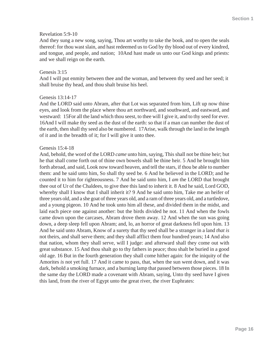#### Revelation 5:9-10

And they sung a new song, saying, Thou art worthy to take the book, and to open the seals thereof: for thou wast slain, and hast redeemed us to God by thy blood out of every kindred, and tongue, and people, and nation; 10And hast made us unto our God kings and priests: and we shall reign on the earth.

#### Genesis 3:15

And I will put enmity between thee and the woman, and between thy seed and her seed; it shall bruise thy head, and thou shalt bruise his heel.

#### Genesis 13:14-17

And the LORD said unto Abram, after that Lot was separated from him, Lift up now thine eyes, and look from the place where thou art northward, and southward, and eastward, and westward: 15For all the land which thou seest, to thee will I give it, and to thy seed for ever. 16And I will make thy seed as the dust of the earth: so that if a man can number the dust of the earth, then shall thy seed also be numbered. 17Arise, walk through the land in the length of it and in the breadth of it; for I will give it unto thee.

#### Genesis 15:4-18

And, behold, the word of the LORD *came* unto him, saying, This shall not be thine heir; but he that shall come forth out of thine own bowels shall be thine heir. 5 And he brought him forth abroad, and said, Look now toward heaven, and tell the stars, if thou be able to number them: and he said unto him, So shall thy seed be. 6 And he believed in the LORD; and he counted it to him for righteousness. 7 And he said unto him, I *am* the LORD that brought thee out of Ur of the Chaldees, to give thee this land to inherit it. 8 And he said, Lord GOD, whereby shall I know that I shall inherit it? 9 And he said unto him, Take me an heifer of three years old, and a she goat of three years old, and a ram of three years old, and a turtledove, and a young pigeon. 10 And he took unto him all these, and divided them in the midst, and laid each piece one against another: but the birds divided he not. 11 And when the fowls came down upon the carcases, Abram drove them away. 12 And when the sun was going down, a deep sleep fell upon Abram; and, lo, an horror of great darkness fell upon him. 13 And he said unto Abram, Know of a surety that thy seed shall be a stranger in a land *that is* not theirs, and shall serve them; and they shall afflict them four hundred years; 14 And also that nation, whom they shall serve, will I judge: and afterward shall they come out with great substance. 15 And thou shalt go to thy fathers in peace; thou shalt be buried in a good old age. 16 But in the fourth generation they shall come hither again: for the iniquity of the Amorites *is* not yet full. 17 And it came to pass, that, when the sun went down, and it was dark, behold a smoking furnace, and a burning lamp that passed between those pieces. 18 In the same day the LORD made a covenant with Abram, saying, Unto thy seed have I given this land, from the river of Egypt unto the great river, the river Euphrates: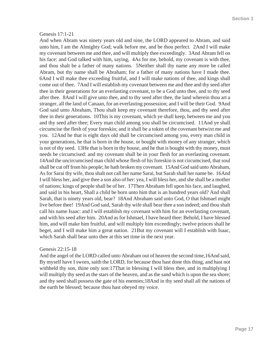#### Genesis 17:1-21

And when Abram was ninety years old and nine, the LORD appeared to Abram, and said unto him, I am the Almighty God; walk before me, and be thou perfect. 2And I will make my covenant between me and thee, and will multiply thee exceedingly. 3And Abram fell on his face: and God talked with him, saying, 4As for me, behold, my covenant is with thee, and thou shalt be a father of many nations. 5Neither shall thy name any more be called Abram, but thy name shall be Abraham; for a father of many nations have I made thee. 6And I will make thee exceeding fruitful, and I will make nations of thee, and kings shall come out of thee. 7And I will establish my covenant between me and thee and thy seed after thee in their generations for an everlasting covenant, to be a God unto thee, and to thy seed after thee. 8And I will give unto thee, and to thy seed after thee, the land wherein thou art a stranger, all the land of Canaan, for an everlasting possession; and I will be their God. 9And God said unto Abraham, Thou shalt keep my covenant therefore, thou, and thy seed after thee in their generations. 10This is my covenant, which ye shall keep, between me and you and thy seed after thee; Every man child among you shall be circumcised. 11And ye shall circumcise the flesh of your foreskin; and it shall be a token of the covenant betwixt me and you. 12And he that is eight days old shall be circumcised among you, every man child in your generations, he that is born in the house, or bought with money of any stranger, which is not of thy seed. 13He that is born in thy house, and he that is bought with thy money, must needs be circumcised: and my covenant shall be in your flesh for an everlasting covenant. 14And the uncircumcised man child whose flesh of his foreskin is not circumcised, that soul shall be cut off from his people; he hath broken my covenant. 15And God said unto Abraham, As for Sarai thy wife, thou shalt not call her name Sarai, but Sarah shall her name be. 16And I will bless her, and give thee a son also of her: yea, I will bless her, and she shall be a mother of nations; kings of people shall be of her. 17Then Abraham fell upon his face, and laughed, and said in his heart, Shall a child be born unto him that is an hundred years old? And shall Sarah, that is ninety years old, bear? 18And Abraham said unto God, O that Ishmael might live before thee! 19And God said, Sarah thy wife shall bear thee a son indeed; and thou shalt call his name Isaac: and I will establish my covenant with him for an everlasting covenant, and with his seed after him. 20And as for Ishmael, I have heard thee: Behold, I have blessed him, and will make him fruitful, and will multiply him exceedingly; twelve princes shall he beget, and I will make him a great nation. 21But my covenant will I establish with Isaac, which Sarah shall bear unto thee at this set time in the next year.

#### Genesis 22:15-18

And the angel of the LORD called unto Abraham out of heaven the second time,16And said, By myself have I sworn, saith the LORD, for because thou hast done this thing, and hast not withheld thy son, thine only son:17That in blessing I will bless thee, and in multiplying I will multiply thy seed as the stars of the heaven, and as the sand which is upon the sea shore; and thy seed shall possess the gate of his enemies;18And in thy seed shall all the nations of the earth be blessed; because thou hast obeyed my voice.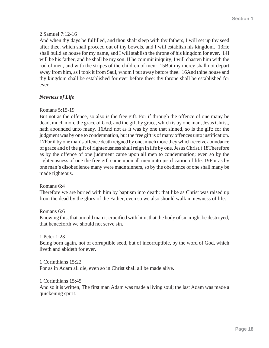#### 2 Samuel 7:12-16

And when thy days be fulfilled, and thou shalt sleep with thy fathers, I will set up thy seed after thee, which shall proceed out of thy bowels, and I will establish his kingdom. 13He shall build an house for my name, and I will stablish the throne of his kingdom for ever. 14I will be his father, and he shall be my son. If he commit iniquity, I will chasten him with the rod of men, and with the stripes of the children of men: 15But my mercy shall not depart away from him, as I took it from Saul, whom I put away before thee. 16And thine house and thy kingdom shall be established for ever before thee: thy throne shall be established for ever.

#### *Newness of Life*

#### Romans 5:15-19

But not as the offence, so also is the free gift. For if through the offence of one many be dead, much more the grace of God, and the gift by grace, which is by one man, Jesus Christ, hath abounded unto many. 16And not as it was by one that sinned, so is the gift: for the judgment was by one to condemnation, but the free gift is of many offences unto justification. 17For if by one man's offence death reigned by one; much more they which receive abundance of grace and of the gift of righteousness shall reign in life by one, Jesus Christ.) 18Therefore as by the offence of one judgment came upon all men to condemnation; even so by the righteousness of one the free gift came upon all men unto justification of life. 19For as by one man's disobedience many were made sinners, so by the obedience of one shall many be made righteous.

#### Romans 6:4

Therefore we are buried with him by baptism into death: that like as Christ was raised up from the dead by the glory of the Father, even so we also should walk in newness of life.

#### Romans 6:6

Knowing this, that our old man is crucified with him, that the body of sin might be destroyed, that henceforth we should not serve sin.

#### 1 Peter 1:23

Being born again, not of corruptible seed, but of incorruptible, by the word of God, which liveth and abideth for ever.

1 Corinthians 15:22 For as in Adam all die, even so in Christ shall all be made alive.

#### 1 Corinthians 15:45

And so it is written, The first man Adam was made a living soul; the last Adam was made a quickening spirit.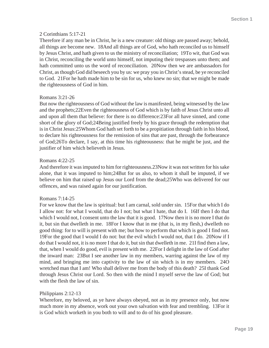#### 2 Corinthians 5:17-21

Therefore if any man be in Christ, he is a new creature: old things are passed away; behold, all things are become new. 18And all things are of God, who hath reconciled us to himself by Jesus Christ, and hath given to us the ministry of reconciliation; 19To wit, that God was in Christ, reconciling the world unto himself, not imputing their trespasses unto them; and hath committed unto us the word of reconciliation. 20Now then we are ambassadors for Christ, as though God did beseech you by us: we pray you in Christ's stead, be ye reconciled to God. 21For he hath made him to be sin for us, who knew no sin; that we might be made the righteousness of God in him.

#### Romans 3:21-26

But now the righteousness of God without the law is manifested, being witnessed by the law and the prophets;22Even the righteousness of God which is by faith of Jesus Christ unto all and upon all them that believe: for there is no difference:23For all have sinned, and come short of the glory of God;24Being justified freely by his grace through the redemption that is in Christ Jesus:25Whom God hath set forth to be a propitiation through faith in his blood, to declare his righteousness for the remission of sins that are past, through the forbearance of God;26To declare, I say, at this time his righteousness: that he might be just, and the justifier of him which believeth in Jesus.

#### Romans 4:22-25

And therefore it was imputed to him for righteousness.23Now it was not written for his sake alone, that it was imputed to him;24But for us also, to whom it shall be imputed, if we believe on him that raised up Jesus our Lord from the dead;25Who was delivered for our offences, and was raised again for our justification.

#### Romans 7:14-25

For we know that the law is spiritual: but I am carnal, sold under sin. 15For that which I do I allow not: for what I would, that do I not; but what I hate, that do I. 16If then I do that which I would not, I consent unto the law that it is good. 17Now then it is no more I that do it, but sin that dwelleth in me. 18For I know that in me (that is, in my flesh,) dwelleth no good thing: for to will is present with me; but how to perform that which is good I find not. 19For the good that I would I do not: but the evil which I would not, that I do. 20Now if I do that I would not, it is no more I that do it, but sin that dwelleth in me. 21I find then a law, that, when I would do good, evil is present with me. 22For I delight in the law of God after the inward man: 23But I see another law in my members, warring against the law of my mind, and bringing me into captivity to the law of sin which is in my members. 24O wretched man that I am! Who shall deliver me from the body of this death? 25I thank God through Jesus Christ our Lord. So then with the mind I myself serve the law of God; but with the flesh the law of sin.

#### Philippians 2:12-13

Wherefore, my beloved, as ye have always obeyed, not as in my presence only, but now much more in my absence, work out your own salvation with fear and trembling. 13For it is God which worketh in you both to will and to do of his good pleasure.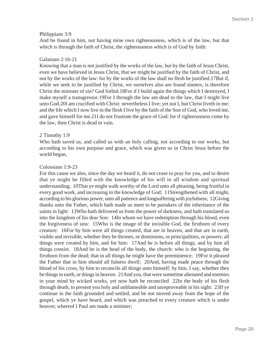#### Philippians 3:9

And be found in him, not having mine own righteousness, which is of the law, but that which is through the faith of Christ, the righteousness which is of God by faith:

#### Galatians 2:16-21

Knowing that a man is not justified by the works of the law, but by the faith of Jesus Christ, even we have believed in Jesus Christ, that we might be justified by the faith of Christ, and not by the works of the law: for by the works of the law shall no flesh be justified.17But if, while we seek to be justified by Christ, we ourselves also are found sinners, is therefore Christ the minister of sin? God forbid.18For if I build again the things which I destroyed, I make myself a transgressor.19For I through the law am dead to the law, that I might live unto God.20I am crucified with Christ: nevertheless I live; yet not I, but Christ liveth in me: and the life which I now live in the flesh I live by the faith of the Son of God, who loved me, and gave himself for me.21I do not frustrate the grace of God: for if righteousness come by the law, then Christ is dead in vain.

#### 2 Timothy 1:9

Who hath saved us, and called us with an holy calling, not according to our works, but according to his own purpose and grace, which was given us in Christ Jesus before the world began,

#### Colossians 1:9-23

For this cause we also, since the day we heard it, do not cease to pray for you, and to desire that ye might be filled with the knowledge of his will in all wisdom and spiritual understanding; 10That ye might walk worthy of the Lord unto all pleasing, being fruitful in every good work, and increasing in the knowledge of God; 11Strengthened with all might, according to his glorious power, unto all patience and longsuffering with joyfulness; 12Giving thanks unto the Father, which hath made us meet to be partakers of the inheritance of the saints in light: 13Who hath delivered us from the power of darkness, and hath translated us into the kingdom of his dear Son: 14In whom we have redemption through his blood, even the forgiveness of sins: 15Who is the image of the invisible God, the firstborn of every creature: 16For by him were all things created, that are in heaven, and that are in earth, visible and invisible, whether they be thrones, or dominions, or principalities, or powers: all things were created by him, and for him: 17And he is before all things, and by him all things consist. 18And he is the head of the body, the church: who is the beginning, the firstborn from the dead; that in all things he might have the preeminence. 19For it pleased the Father that in him should all fulness dwell; 20And, having made peace through the blood of his cross, by him to reconcile all things unto himself; by him, I say, whether they be things in earth, or things in heaven. 21And you, that were sometime alienated and enemies in your mind by wicked works, yet now hath he reconciled 22In the body of his flesh through death, to present you holy and unblameable and unreproveable in his sight: 23If ye continue in the faith grounded and settled, and be not moved away from the hope of the gospel, which ye have heard, and which was preached to every creature which is under heaven; whereof I Paul am made a minister;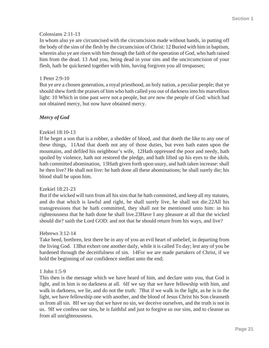#### Colossians 2:11-13

In whom also ye are circumcised with the circumcision made without hands, in putting off the body of the sins of the flesh by the circumcision of Christ: 12 Buried with him in baptism, wherein also ye are risen with *him* through the faith of the operation of God, who hath raised him from the dead. 13 And you, being dead in your sins and the uncircumcision of your flesh, hath he quickened together with him, having forgiven you all trespasses;

#### 1 Peter 2:9-10

But ye *are* a chosen generation, a royal priesthood, an holy nation, a peculiar people; that ye should shew forth the praises of him who hath called you out of darkness into his marvellous light: 10 Which in time past *were* not a people, but *are* now the people of God: which had not obtained mercy, but now have obtained mercy.

#### *Mercy of God*

#### Ezekiel 18:10-13

If he beget a son that is a robber, a shedder of blood, and that doeth the like to any one of these things, 11And that doeth not any of those duties, but even hath eaten upon the mountains, and defiled his neighbour's wife, 12Hath oppressed the poor and needy, hath spoiled by violence, hath not restored the pledge, and hath lifted up his eyes to the idols, hath committed abomination, 13Hath given forth upon usury, and hath taken increase: shall he then live? He shall not live: he hath done all these abominations; he shall surely die; his blood shall be upon him.

#### Ezekiel 18:21-23

But if the wicked will turn from all his sins that he hath committed, and keep all my statutes, and do that which is lawful and right, he shall surely live, he shall not die.22All his transgressions that he hath committed, they shall not be mentioned unto him: in his righteousness that he hath done he shall live.23Have I any pleasure at all that the wicked should die? saith the Lord GOD: and not that he should return from his ways, and live?

#### Hebrews 3:12-14

Take heed, brethren, lest there be in any of you an evil heart of unbelief, in departing from the living God. 13But exhort one another daily, while it is called To day; lest any of you be hardened through the deceitfulness of sin. 14For we are made partakers of Christ, if we hold the beginning of our confidence stedfast unto the end;

#### 1 John 1:5-9

This then is the message which we have heard of him, and declare unto you, that God is light, and in him is no darkness at all. 6If we say that we have fellowship with him, and walk in darkness, we lie, and do not the truth: 7But if we walk in the light, as he is in the light, we have fellowship one with another, and the blood of Jesus Christ his Son cleanseth us from all sin. 8If we say that we have no sin, we deceive ourselves, and the truth is not in us. 9If we confess our sins, he is faithful and just to forgive us our sins, and to cleanse us from all unrighteousness.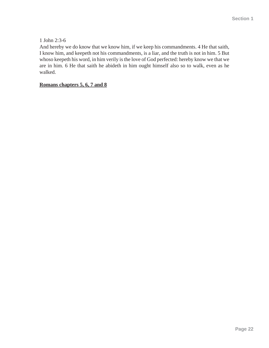#### 1 John 2:3-6

And hereby we do know that we know him, if we keep his commandments. 4 He that saith, I know him, and keepeth not his commandments, is a liar, and the truth is not in him. 5 But whoso keepeth his word, in him verily is the love of God perfected: hereby know we that we are in him. 6 He that saith he abideth in him ought himself also so to walk, even as he walked.

#### **Romans chapters 5, 6, 7 and 8**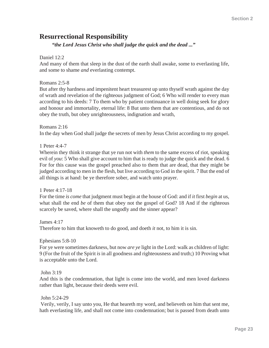# **Resurrectional Responsibility**

*"the Lord Jesus Christ who shall judge the quick and the dead ..."*

#### Daniel 12:2

And many of them that sleep in the dust of the earth shall awake, some to everlasting life, and some to shame *and* everlasting contempt.

#### Romans 2:5-8

But after thy hardness and impenitent heart treasurest up unto thyself wrath against the day of wrath and revelation of the righteous judgment of God; 6 Who will render to every man according to his deeds: 7 To them who by patient continuance in well doing seek for glory and honour and immortality, eternal life: 8 But unto them that are contentious, and do not obey the truth, but obey unrighteousness, indignation and wrath,

Romans 2:16 In the day when God shall judge the secrets of men by Jesus Christ according to my gospel.

1 Peter 4:4-7

Wherein they think it strange that ye run not with *them* to the same excess of riot, speaking evil of *you*: 5 Who shall give account to him that is ready to judge the quick and the dead. 6 For for this cause was the gospel preached also to them that are dead, that they might be judged according to men in the flesh, but live according to God in the spirit. 7 But the end of all things is at hand: be ye therefore sober, and watch unto prayer.

#### 1 Peter 4:17-18

For the time *is come* that judgment must begin at the house of God: and if *it* first *begin* at us, what shall the end *be* of them that obey not the gospel of God? 18 And if the righteous scarcely be saved, where shall the ungodly and the sinner appear?

James 4:17 Therefore to him that knoweth to do good, and doeth *it* not, to him it is sin.

Ephesians 5:8-10

For ye were sometimes darkness, but now *are ye* light in the Lord: walk as children of light: 9 (For the fruit of the Spirit *is* in all goodness and righteousness and truth;) 10 Proving what is acceptable unto the Lord.

John 3:19

And this is the condemnation, that light is come into the world, and men loved darkness rather than light, because their deeds were evil.

John 5:24-29

 Verily, verily, I say unto you, He that heareth my word, and believeth on him that sent me, hath everlasting life, and shall not come into condemnation; but is passed from death unto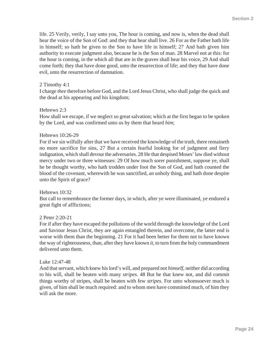life. 25 Verily, verily, I say unto you, The hour is coming, and now is, when the dead shall hear the voice of the Son of God: and they that hear shall live. 26 For as the Father hath life in himself; so hath he given to the Son to have life in himself; 27 And hath given him authority to execute judgment also, because he is the Son of man. 28 Marvel not at this: for the hour is coming, in the which all that are in the graves shall hear his voice, 29 And shall come forth; they that have done good, unto the resurrection of life; and they that have done evil, unto the resurrection of damnation.

#### 2 Timothy 4:1

I charge *thee* therefore before God, and the Lord Jesus Christ, who shall judge the quick and the dead at his appearing and his kingdom;

#### Hebrews 2:3

How shall we escape, if we neglect so great salvation; which at the first began to be spoken by the Lord, and was confirmed unto us by them that heard *him*;

#### Hebrews 10:26-29

For if we sin wilfully after that we have received the knowledge of the truth, there remaineth no more sacrifice for sins, 27 But a certain fearful looking for of judgment and fiery indignation, which shall devour the adversaries. 28 He that despised Moses' law died without mercy under two or three witnesses: 29 Of how much sorer punishment, suppose ye, shall he be thought worthy, who hath trodden under foot the Son of God, and hath counted the blood of the covenant, wherewith he was sanctified, an unholy thing, and hath done despite unto the Spirit of grace?

#### Hebrews 10:32

But call to remembrance the former days, in which, after ye were illuminated, ye endured a great fight of afflictions;

#### 2 Peter 2:20-21

For if after they have escaped the pollutions of the world through the knowledge of the Lord and Saviour Jesus Christ, they are again entangled therein, and overcome, the latter end is worse with them than the beginning. 21 For it had been better for them not to have known the way of righteousness, than, after they have known *it*, to turn from the holy commandment delivered unto them.

#### Luke 12:47-48

And that servant, which knew his lord's will, and prepared not *himself*, neither did according to his will, shall be beaten with many *stripes*. 48 But he that knew not, and did commit things worthy of stripes, shall be beaten with few *stripes*. For unto whomsoever much is given, of him shall be much required: and to whom men have committed much, of him they will ask the more.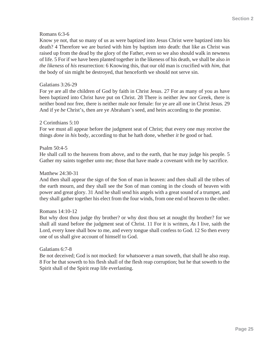#### Romans 6:3-6

Know ye not, that so many of us as were baptized into Jesus Christ were baptized into his death? 4 Therefore we are buried with him by baptism into death: that like as Christ was raised up from the dead by the glory of the Father, even so we also should walk in newness of life. 5 For if we have been planted together in the likeness of his death, we shall be also *in the likeness* of *his* resurrection: 6 Knowing this, that our old man is crucified with *him*, that the body of sin might be destroyed, that henceforth we should not serve sin.

#### Galatians 3:26-29

For ye are all the children of God by faith in Christ Jesus. 27 For as many of you as have been baptized into Christ have put on Christ. 28 There is neither Jew nor Greek, there is neither bond nor free, there is neither male nor female: for ye are all one in Christ Jesus. 29 And if ye *be* Christ's, then are ye Abraham's seed, and heirs according to the promise.

#### 2 Corinthians 5:10

For we must all appear before the judgment seat of Christ; that every one may receive the things *done* in *his* body, according to that he hath done, whether *it be* good or bad.

#### Psalm 50:4-5

He shall call to the heavens from above, and to the earth, that he may judge his people. 5 Gather my saints together unto me; those that have made a covenant with me by sacrifice.

#### Matthew 24:30-31

And then shall appear the sign of the Son of man in heaven: and then shall all the tribes of the earth mourn, and they shall see the Son of man coming in the clouds of heaven with power and great glory. 31 And he shall send his angels with a great sound of a trumpet, and they shall gather together his elect from the four winds, from one end of heaven to the other.

#### Romans 14:10-12

But why dost thou judge thy brother? or why dost thou set at nought thy brother? for we shall all stand before the judgment seat of Christ. 11 For it is written, *As* I live, saith the Lord, every knee shall bow to me, and every tongue shall confess to God. 12 So then every one of us shall give account of himself to God.

#### Galatians 6:7-8

Be not deceived; God is not mocked: for whatsoever a man soweth, that shall he also reap. 8 For he that soweth to his flesh shall of the flesh reap corruption; but he that soweth to the Spirit shall of the Spirit reap life everlasting.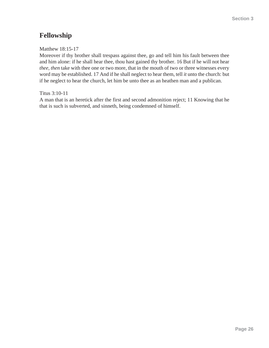# **Fellowship**

Matthew 18:15-17

Moreover if thy brother shall trespass against thee, go and tell him his fault between thee and him alone: if he shall hear thee, thou hast gained thy brother. 16 But if he will not hear *thee, then* take with thee one or two more, that in the mouth of two or three witnesses every word may be established. 17 And if he shall neglect to hear them, tell *it* unto the church: but if he neglect to hear the church, let him be unto thee as an heathen man and a publican.

Titus 3:10-11

A man that is an heretick after the first and second admonition reject; 11 Knowing that he that is such is subverted, and sinneth, being condemned of himself.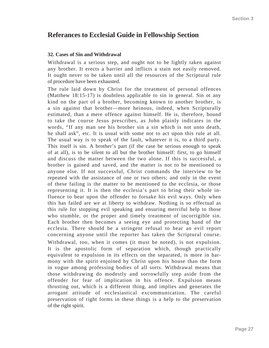## **Referances to Ecclesial Guide in Fellowship Section**

#### **32. Cases of Sin and Withdrawal**

Withdrawal is a serious step, and ought not to be lightly taken against any brother. It erects a barrier and inflicts a stain not easily removed. It ought never to be taken until all the resources of the Scriptural rule of procedure have been exhausted.

The rule laid down by Christ for the treatment of personal offences (Matthew 18:15-17) is doubtless applicable to sin in general. Sin ot any kind on the part of a brother, becoming known to another brother, is a sin against that brother—more heinous, indeed, when Scripturally estimated, than a mere offence against himself. He is, therefore, bound to take the course Jesus prescribes, as John plainly indicates in the words, "If any man see his brother sin a sin which is not unto death, he shall ask", etc. It is usual with some not to act upon this rule at all. The usual way is to speak of the fault, whatever it is, to a third party. This itself is sin. A brother's part (if the case be serious enough to speak of at all), is to be silent to all but the brother himself: first, to go himself and discuss the matter between the two alone. If this is successful, a brother is gained and saved, and the matter is not to be mentioned to anyone else. If not successful, Christ commands the interview to be repeated with the assistance of one or two others; and only in the event of these failing is the matter to be mentioned to the ecclesia, or those representing it. It is then the ecclesia's part to bring their whole influence to bear upon the offender to forsake his evil ways. Only when this has failed are we at liberty to withdraw. Nothing is so effectual as this rule for stopping evil speaking and ensuring merciful help to those who stumble, or the proper and timely treatment of incorrigible sin. Each brother then becomes a seeing eye and protecting hand of the ecclesia. There should be a stringent refusal to hear an evil report concerning anyone until the reporter has taken the Scriptural course. Withdrawal, too, when it comes (it must be noted), is not expulsion. It is the apostolic form of separation which, though practically equivalent to expulsion in its effects on the separated, is more in harmony with the spirit enjoined by Christ upon his house than the form in vogue among professing bodies of all sorts. Withdrawal means that those withdrawing do modestly and sorrowfully step aside from the offender for fear of implication in his offence. Expulsion means thrusting out, which is a different thing, and implies and generates the arrogant attitude of ecclesiastical excommunication. The careful preservation of right forms in these things is a help to the preservation of the right spirit.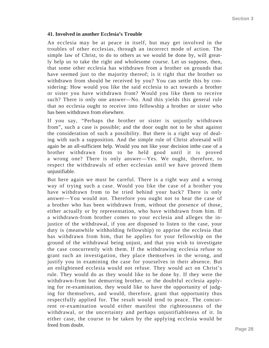#### **41. Involved in another Ecclesia's Trouble**

An ecclesia may be at peace in itself, but may get involved in the troubles of other ecclesias, through an incorrect mode of action. The simple law of Christ, to do to others as we would be done by, will greatly help us to take the right and wholesome course. Let us suppose, then, that some other ecclesia has withdrawn from a brother on grounds that have seemed just to the majority thereof; is it right that the brother so withdrawn from should be received by you? You can settle this by considering: How would you like the said ecclesia to act towards a brother or sister you have withdrawn from? Would you like them to receive such? There is only one answer—No. And this yields this general rule that no ecclesia ought to receive into fellowship a brother or sister who has been withdrawn from elsewhere.

If you say, "Perhaps the brother or sister is unjustly withdrawn from", such a case is possible; and the door ought not to be shut against the consideration of such a possibility. But there is a right way of dealing with such a supposition. And the simple rule of Christ aforesaid will again be an all-sufficient help. Would you not like your decision inthe case of a brother withdrawn from to be held good until it is proved a wrong one? There is only answer—Yes. We ought, therefore, to respect the withdrawals of other ecclesias until we have proved them unjustifiable.

But here again we must be careful. There is a right way and a wrong way of trying such a case. Would you like the case of a brother you have withdrawn from to be tried behind your back? There is only answer—You would not. Therefore you ought not to hear the case of a brother who has been withdrawn from, without the presence of those, either actually or by representation, who have withdrawn from him. If a withdrawn-from brother comes to your ecclesia and alleges the injustice of the withdrawal, if you are disposed to listen to the case, your duty is (meanwhile withholding fellowship) to apprise the ecclesia that has withdrawn from him, that he applies for your fellowship on the ground of the withdrawal being unjust, and that you wish to investigate the case concurrently with them. If the withdrawing ecclesia refuse to grant such an investigation, they place themselves in the wrong, and justify you in examining the case for yourselves in their absence. But an enlightened ecclesia would not refuse. They would act on Christ's rule. They would do as they would like to be done by. If they were the withdrawn-from but demurring brother, or the doubtful ecclesia applying for re-examination, they would like to have the opportunity of judging for themselves, and would, therefore, grant that opportunity thus respectfully applied for. The result would tend to peace. The concurrent re-examination would either manifest the righteousness of the withdrawal, or the uncertainty and perhaps unjustifiableness of it. In either case, the course to be taken by the applying ecclesia would be freed from doubt.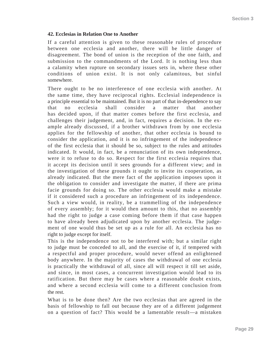#### **42. Ecclesias in Relation One to Another**

If a careful attention is given to these reasonable rules of procedure between one ecclesia and another, there will be little danger of disagreement. The bond of union is the reception of the one faith, and submission to the commandments of the Lord. It is nothing less than a calamity when rupture on secondary issues sets in, where these other conditions of union exist. It is not only calamitous, but sinful somewhere.

There ought to be no interference of one ecclesia with another. At the same time, they have reciprocal rights. Ecclesial independence is a principle essential to be maintained. But it is no part of that in-dependence to say that no ecclesia shall consider a matter that another has decided upon, if that matter comes before the first ecclesia, and challenges their judgement, and, in fact, requires a decision. In the example already discussed, if a brother withdrawn from by one ecclesia applies for the fellowship of another, that other ecclesia is bound to consider the application, and it is no infringement of the independence of the first ecclesia that it should be so, subject to the rules and attitudes indicated. It would, in fact, be a renunciation of its own independence, were it to refuse to do so. Respect for the first ecclesia requires that it accept its decision until it sees grounds for a different view; and in the investigation of these grounds it ought to invite its cooperation, as already indicated. But the mere fact of the application imposes upon it the obligation to consider and investigate the matter, if there are prima facie grounds for doing so. The other ecclesia would make a mistake if it considered such a procedure an infringement of its independence. Such a view would, in reality, be a trammelling of the independence of every assembly; for it would then amount to this, that no assembly had the right to judge a case coming before them if that case happen to have already been adjudicated upon by another ecclesia. The judgement of one would thus be set up as a rule for all. An ecclesia has no right to judge except for itself.

This is the independence not to be interfered with; but a similar right to judge must be conceded to all, and the exercise of it, if tempered with a respectful and proper procedure, would never offend an enlightened body anywhere. In the majority of cases the withdrawal of one ecclesia is practically the withdrawal of all, since all will respect it till set aside, and since, in most cases, a concurrent investigation would lead to its ratification. But there may be cases where a reasonable doubt exists, and where a second ecclesia will come to a different conclusion from the rest.

What is to be done then? Are the two ecclesias that are agreed in the basis of fellowship to fall out because they are of a different judgement on a question of fact? This would be a lamentable result—a mistaken